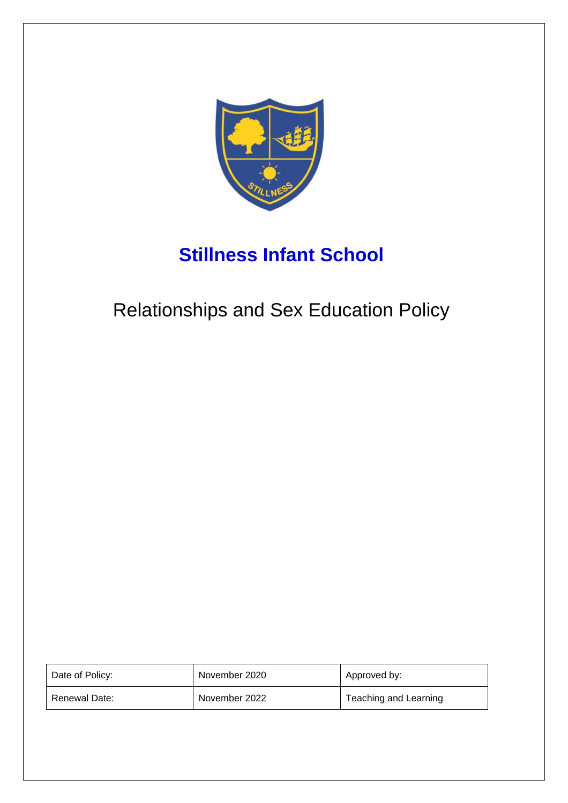

# **Stillness Infant School**

# Relationships and Sex Education Policy

| Date of Policy: | November 2020 | Approved by:          |
|-----------------|---------------|-----------------------|
| Renewal Date:   | November 2022 | Teaching and Learning |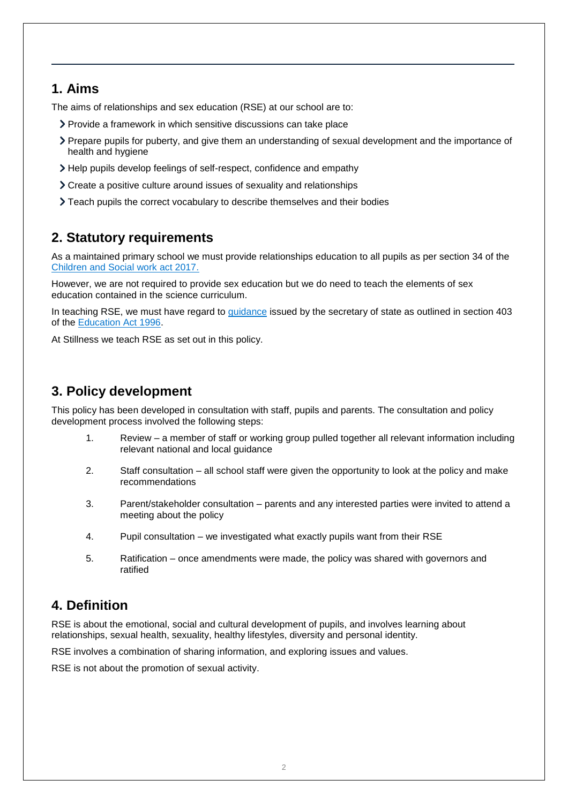### **1. Aims**

The aims of relationships and sex education (RSE) at our school are to:

- Provide a framework in which sensitive discussions can take place
- Prepare pupils for puberty, and give them an understanding of sexual development and the importance of health and hygiene
- Help pupils develop feelings of self-respect, confidence and empathy
- Create a positive culture around issues of sexuality and relationships
- Teach pupils the correct vocabulary to describe themselves and their bodies

## **2. Statutory requirements**

As a maintained primary school we must provide relationships education to all pupils as per section 34 of the [Children and Social work act 2017.](http://www.legislation.gov.uk/ukpga/2017/16/section/34/enacted)

However, we are not required to provide sex education but we do need to teach the elements of sex education contained in the science curriculum.

In teaching RSE, we must have regard to [guidance](https://www.gov.uk/government/consultations/relationships-and-sex-education-and-health-education) issued by the secretary of state as outlined in section 403 of the [Education Act 1996.](http://www.legislation.gov.uk/ukpga/1996/56/contents)

At Stillness we teach RSE as set out in this policy.

## **3. Policy development**

This policy has been developed in consultation with staff, pupils and parents. The consultation and policy development process involved the following steps:

- 1. Review a member of staff or working group pulled together all relevant information including relevant national and local guidance
- 2. Staff consultation all school staff were given the opportunity to look at the policy and make recommendations
- 3. Parent/stakeholder consultation parents and any interested parties were invited to attend a meeting about the policy
- 4. Pupil consultation we investigated what exactly pupils want from their RSE
- 5. Ratification once amendments were made, the policy was shared with governors and ratified

## **4. Definition**

RSE is about the emotional, social and cultural development of pupils, and involves learning about relationships, sexual health, sexuality, healthy lifestyles, diversity and personal identity.

RSE involves a combination of sharing information, and exploring issues and values.

RSE is not about the promotion of sexual activity.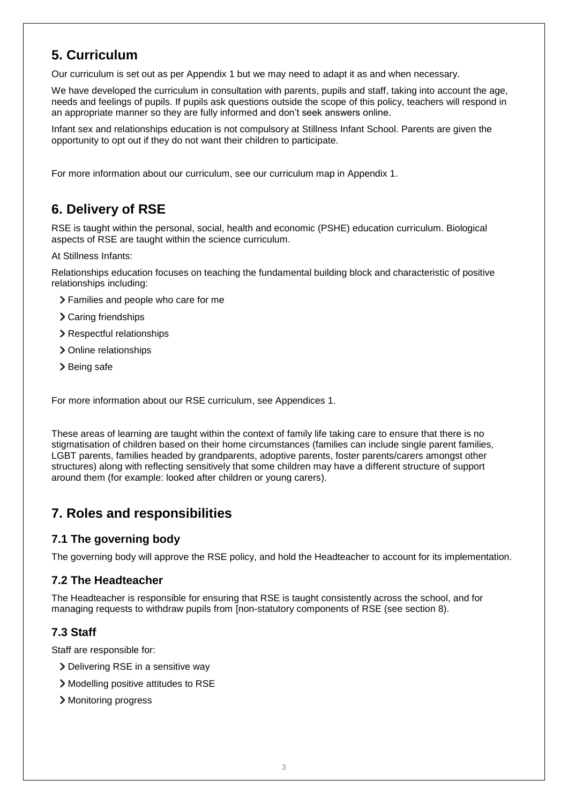## **5. Curriculum**

Our curriculum is set out as per Appendix 1 but we may need to adapt it as and when necessary.

We have developed the curriculum in consultation with parents, pupils and staff, taking into account the age, needs and feelings of pupils. If pupils ask questions outside the scope of this policy, teachers will respond in an appropriate manner so they are fully informed and don't seek answers online.

Infant sex and relationships education is not compulsory at Stillness Infant School. Parents are given the opportunity to opt out if they do not want their children to participate.

For more information about our curriculum, see our curriculum map in Appendix 1.

## **6. Delivery of RSE**

RSE is taught within the personal, social, health and economic (PSHE) education curriculum. Biological aspects of RSE are taught within the science curriculum.

At Stillness Infants:

Relationships education focuses on teaching the fundamental building block and characteristic of positive relationships including:

- Families and people who care for me
- > Caring friendships
- > Respectful relationships
- > Online relationships
- > Being safe

For more information about our RSE curriculum, see Appendices 1.

These areas of learning are taught within the context of family life taking care to ensure that there is no stigmatisation of children based on their home circumstances (families can include single parent families, LGBT parents, families headed by grandparents, adoptive parents, foster parents/carers amongst other structures) along with reflecting sensitively that some children may have a different structure of support around them (for example: looked after children or young carers).

## **7. Roles and responsibilities**

#### **7.1 The governing body**

The governing body will approve the RSE policy, and hold the Headteacher to account for its implementation.

#### **7.2 The Headteacher**

The Headteacher is responsible for ensuring that RSE is taught consistently across the school, and for managing requests to withdraw pupils from [non-statutory components of RSE (see section 8).

#### **7.3 Staff**

Staff are responsible for:

- > Delivering RSE in a sensitive way
- Modelling positive attitudes to RSE
- > Monitoring progress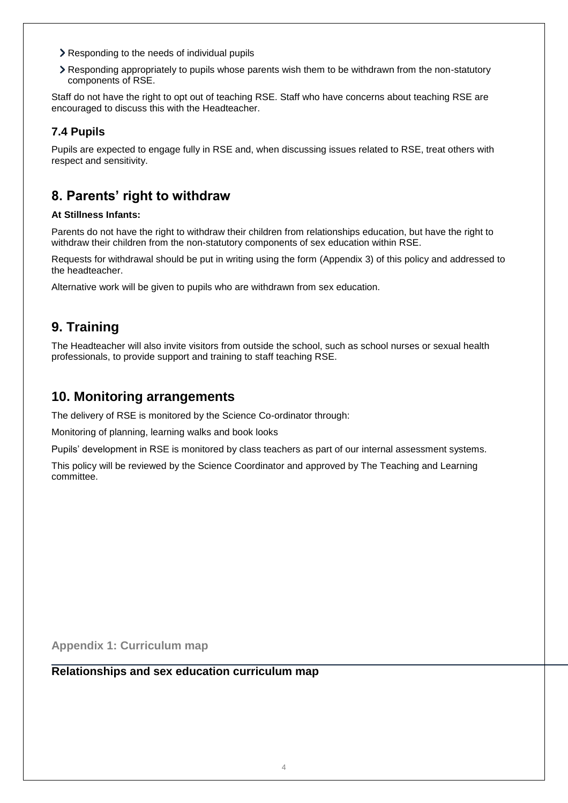- **EXEC** Responding to the needs of individual pupils
- Responding appropriately to pupils whose parents wish them to be withdrawn from the non-statutory components of RSE.

Staff do not have the right to opt out of teaching RSE. Staff who have concerns about teaching RSE are encouraged to discuss this with the Headteacher.

#### **7.4 Pupils**

Pupils are expected to engage fully in RSE and, when discussing issues related to RSE, treat others with respect and sensitivity.

## **8. Parents' right to withdraw**

#### **At Stillness Infants:**

Parents do not have the right to withdraw their children from relationships education, but have the right to withdraw their children from the non-statutory components of sex education within RSE.

Requests for withdrawal should be put in writing using the form (Appendix 3) of this policy and addressed to the headteacher.

Alternative work will be given to pupils who are withdrawn from sex education.

## **9. Training**

The Headteacher will also invite visitors from outside the school, such as school nurses or sexual health professionals, to provide support and training to staff teaching RSE.

### **10. Monitoring arrangements**

The delivery of RSE is monitored by the Science Co-ordinator through:

Monitoring of planning, learning walks and book looks

Pupils' development in RSE is monitored by class teachers as part of our internal assessment systems.

This policy will be reviewed by the Science Coordinator and approved by The Teaching and Learning committee.

**Appendix 1: Curriculum map**

**Relationships and sex education curriculum map**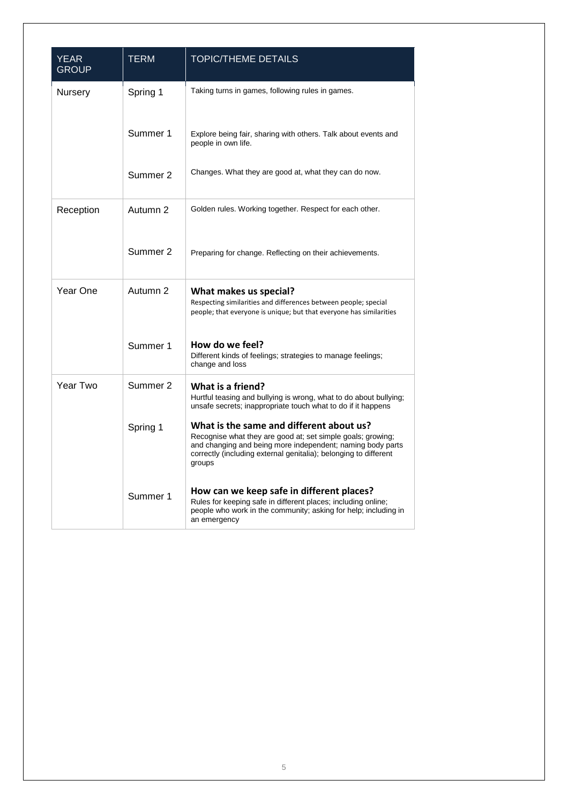| <b>YEAR</b><br><b>GROUP</b> | <b>TERM</b> | <b>TOPIC/THEME DETAILS</b>                                                                                                                                                                                                                          |
|-----------------------------|-------------|-----------------------------------------------------------------------------------------------------------------------------------------------------------------------------------------------------------------------------------------------------|
| Nursery                     | Spring 1    | Taking turns in games, following rules in games.                                                                                                                                                                                                    |
|                             | Summer 1    | Explore being fair, sharing with others. Talk about events and<br>people in own life.                                                                                                                                                               |
|                             | Summer 2    | Changes. What they are good at, what they can do now.                                                                                                                                                                                               |
| Reception                   | Autumn 2    | Golden rules. Working together. Respect for each other.                                                                                                                                                                                             |
|                             | Summer 2    | Preparing for change. Reflecting on their achievements.                                                                                                                                                                                             |
| Year One                    | Autumn 2    | What makes us special?<br>Respecting similarities and differences between people; special<br>people; that everyone is unique; but that everyone has similarities                                                                                    |
|                             | Summer 1    | How do we feel?<br>Different kinds of feelings; strategies to manage feelings;<br>change and loss                                                                                                                                                   |
| Year Two                    | Summer 2    | What is a friend?<br>Hurtful teasing and bullying is wrong, what to do about bullying;<br>unsafe secrets; inappropriate touch what to do if it happens                                                                                              |
|                             | Spring 1    | What is the same and different about us?<br>Recognise what they are good at; set simple goals; growing;<br>and changing and being more independent; naming body parts<br>correctly (including external genitalia); belonging to different<br>groups |
|                             | Summer 1    | How can we keep safe in different places?<br>Rules for keeping safe in different places; including online;<br>people who work in the community; asking for help; including in<br>an emergency                                                       |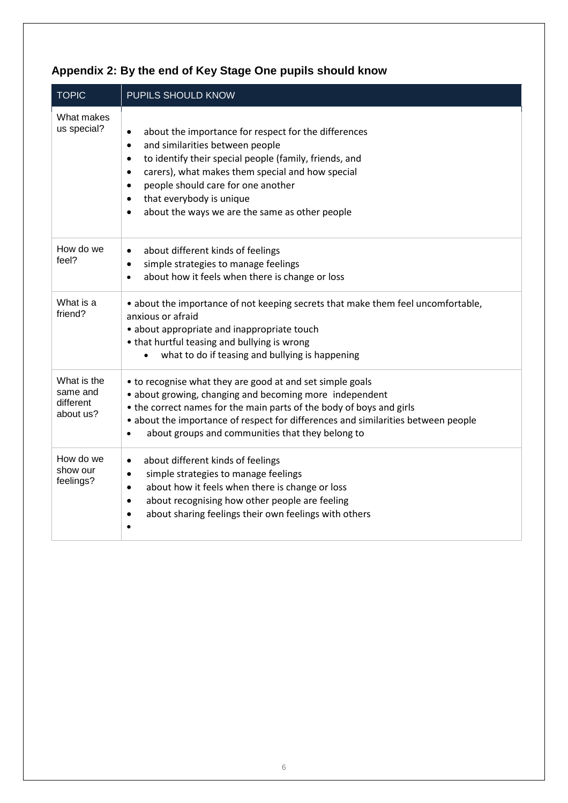| <b>TOPIC</b>                                      | PUPILS SHOULD KNOW                                                                                                                                                                                                                                                                                                                                                                         |
|---------------------------------------------------|--------------------------------------------------------------------------------------------------------------------------------------------------------------------------------------------------------------------------------------------------------------------------------------------------------------------------------------------------------------------------------------------|
| What makes<br>us special?                         | about the importance for respect for the differences<br>$\bullet$<br>and similarities between people<br>$\bullet$<br>to identify their special people (family, friends, and<br>$\bullet$<br>carers), what makes them special and how special<br>$\bullet$<br>people should care for one another<br>that everybody is unique<br>about the ways we are the same as other people<br>$\bullet$ |
| How do we<br>feel?                                | about different kinds of feelings<br>$\bullet$<br>simple strategies to manage feelings<br>$\bullet$<br>about how it feels when there is change or loss<br>$\bullet$                                                                                                                                                                                                                        |
| What is a<br>friend?                              | • about the importance of not keeping secrets that make them feel uncomfortable,<br>anxious or afraid<br>• about appropriate and inappropriate touch<br>• that hurtful teasing and bullying is wrong<br>what to do if teasing and bullying is happening<br>$\bullet$                                                                                                                       |
| What is the<br>same and<br>different<br>about us? | • to recognise what they are good at and set simple goals<br>• about growing, changing and becoming more independent<br>• the correct names for the main parts of the body of boys and girls<br>• about the importance of respect for differences and similarities between people<br>about groups and communities that they belong to<br>$\bullet$                                         |
| How do we<br>show our<br>feelings?                | about different kinds of feelings<br>$\bullet$<br>simple strategies to manage feelings<br>٠<br>about how it feels when there is change or loss<br>$\bullet$<br>about recognising how other people are feeling<br>$\bullet$<br>about sharing feelings their own feelings with others<br>$\bullet$                                                                                           |

# **Appendix 2: By the end of Key Stage One pupils should know**